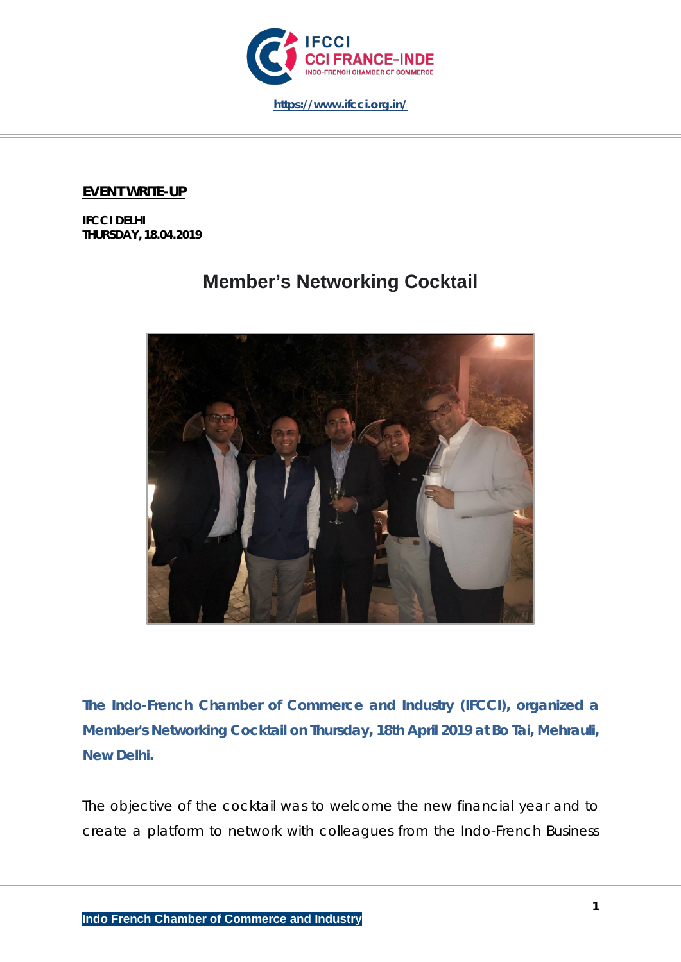

## **EVENT WRITE-UP**

**IFCCI DELHI THURSDAY, 18.04.2019**

## **Member's Networking Cocktail**



*The Indo-French Chamber of Commerce and Industry (IFCCI), organized a Member's Networking Cocktail on Thursday, 18th April 2019 at Bo Tai, Mehrauli, New Delhi.*

The objective of the cocktail was to welcome the new financial year and to create a platform to network with colleagues from the Indo-French Business